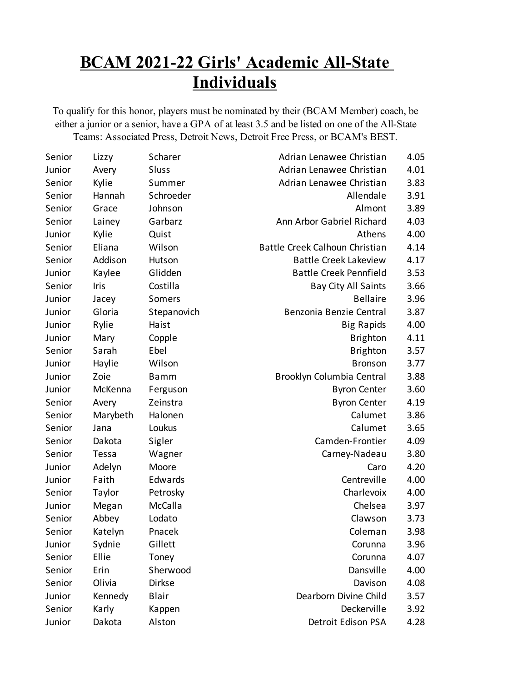## **BCAM 2021-22 Girls' Academic All-State Individuals**

To qualify for this honor, players must be nominated by their (BCAM Member) coach, be either a junior or a senior, have a GPA of at least 3.5 and be listed on one of the All-State Teams: Associated Press, Detroit News, Detroit Free Press, or BCAM's BEST.

| Senior | Lizzy       | Scharer      | Adrian Lenawee Christian       | 4.05 |
|--------|-------------|--------------|--------------------------------|------|
| Junior | Avery       | Sluss        | Adrian Lenawee Christian       | 4.01 |
| Senior | Kylie       | Summer       | Adrian Lenawee Christian       | 3.83 |
| Senior | Hannah      | Schroeder    | Allendale                      | 3.91 |
| Senior | Grace       | Johnson      | Almont                         | 3.89 |
| Senior | Lainey      | Garbarz      | Ann Arbor Gabriel Richard      | 4.03 |
| Junior | Kylie       | Quist        | Athens                         | 4.00 |
| Senior | Eliana      | Wilson       | Battle Creek Calhoun Christian | 4.14 |
| Senior | Addison     | Hutson       | <b>Battle Creek Lakeview</b>   | 4.17 |
| Junior | Kaylee      | Glidden      | <b>Battle Creek Pennfield</b>  | 3.53 |
| Senior | <b>Iris</b> | Costilla     | <b>Bay City All Saints</b>     | 3.66 |
| Junior | Jacey       | Somers       | <b>Bellaire</b>                | 3.96 |
| Junior | Gloria      | Stepanovich  | Benzonia Benzie Central        | 3.87 |
| Junior | Rylie       | Haist        | <b>Big Rapids</b>              | 4.00 |
| Junior | Mary        | Copple       | <b>Brighton</b>                | 4.11 |
| Senior | Sarah       | Ebel         | <b>Brighton</b>                | 3.57 |
| Junior | Haylie      | Wilson       | <b>Bronson</b>                 | 3.77 |
| Junior | Zoie        | <b>Bamm</b>  | Brooklyn Columbia Central      | 3.88 |
| Junior | McKenna     | Ferguson     | <b>Byron Center</b>            | 3.60 |
| Senior | Avery       | Zeinstra     | <b>Byron Center</b>            | 4.19 |
| Senior | Marybeth    | Halonen      | Calumet                        | 3.86 |
| Senior | Jana        | Loukus       | Calumet                        | 3.65 |
| Senior | Dakota      | Sigler       | Camden-Frontier                | 4.09 |
| Senior | Tessa       | Wagner       | Carney-Nadeau                  | 3.80 |
| Junior | Adelyn      | Moore        | Caro                           | 4.20 |
| Junior | Faith       | Edwards      | Centreville                    | 4.00 |
| Senior | Taylor      | Petrosky     | Charlevoix                     | 4.00 |
| Junior | Megan       | McCalla      | Chelsea                        | 3.97 |
| Senior | Abbey       | Lodato       | Clawson                        | 3.73 |
| Senior | Katelyn     | Pnacek       | Coleman                        | 3.98 |
| Junior | Sydnie      | Gillett      | Corunna                        | 3.96 |
| Senior | Ellie       | Toney        | Corunna                        | 4.07 |
| Senior | Erin        | Sherwood     | Dansville                      | 4.00 |
| Senior | Olivia      | Dirkse       | Davison                        | 4.08 |
| Junior | Kennedy     | <b>Blair</b> | Dearborn Divine Child          | 3.57 |
| Senior | Karly       | Kappen       | Deckerville                    | 3.92 |
| Junior | Dakota      | Alston       | Detroit Edison PSA             | 4.28 |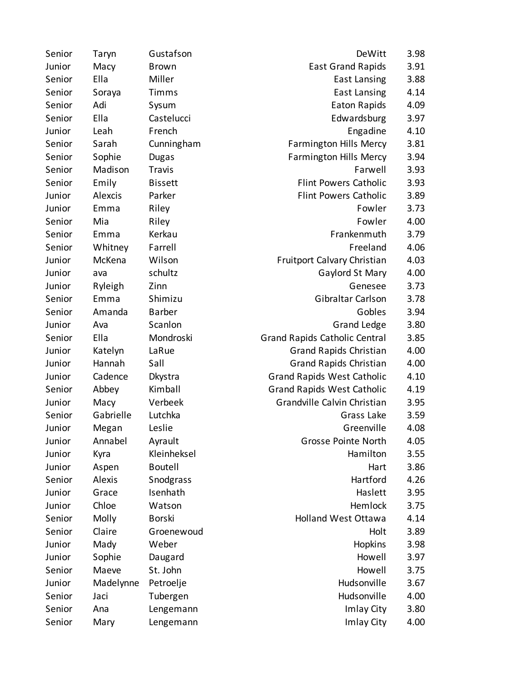| Senior | Taryn     | Gustafson      | DeWitt                               | 3.98 |
|--------|-----------|----------------|--------------------------------------|------|
| Junior | Macy      | <b>Brown</b>   | <b>East Grand Rapids</b>             | 3.91 |
| Senior | Ella      | Miller         | <b>East Lansing</b>                  | 3.88 |
| Senior | Soraya    | Timms          | <b>East Lansing</b>                  | 4.14 |
| Senior | Adi       | Sysum          | Eaton Rapids                         | 4.09 |
| Senior | Ella      | Castelucci     | Edwardsburg                          | 3.97 |
| Junior | Leah      | French         | Engadine                             | 4.10 |
| Senior | Sarah     | Cunningham     | <b>Farmington Hills Mercy</b>        | 3.81 |
| Senior | Sophie    | Dugas          | <b>Farmington Hills Mercy</b>        | 3.94 |
| Senior | Madison   | <b>Travis</b>  | Farwell                              | 3.93 |
| Senior | Emily     | <b>Bissett</b> | <b>Flint Powers Catholic</b>         | 3.93 |
| Junior | Alexcis   | Parker         | <b>Flint Powers Catholic</b>         | 3.89 |
| Junior | Emma      | Riley          | Fowler                               | 3.73 |
| Senior | Mia       | Riley          | Fowler                               | 4.00 |
| Senior | Emma      | Kerkau         | Frankenmuth                          | 3.79 |
| Senior | Whitney   | Farrell        | Freeland                             | 4.06 |
| Junior | McKena    | Wilson         | Fruitport Calvary Christian          | 4.03 |
| Junior | ava       | schultz        | Gaylord St Mary                      | 4.00 |
| Junior | Ryleigh   | Zinn           | Genesee                              | 3.73 |
| Senior | Emma      | Shimizu        | Gibraltar Carlson                    | 3.78 |
| Senior | Amanda    | <b>Barber</b>  | Gobles                               | 3.94 |
| Junior | Ava       | Scanlon        | <b>Grand Ledge</b>                   | 3.80 |
| Senior | Ella      | Mondroski      | <b>Grand Rapids Catholic Central</b> | 3.85 |
| Junior | Katelyn   | LaRue          | <b>Grand Rapids Christian</b>        | 4.00 |
| Junior | Hannah    | Sall           | <b>Grand Rapids Christian</b>        | 4.00 |
| Junior | Cadence   | Dkystra        | <b>Grand Rapids West Catholic</b>    | 4.10 |
| Senior | Abbey     | Kimball        | <b>Grand Rapids West Catholic</b>    | 4.19 |
| Junior | Macy      | Verbeek        | Grandville Calvin Christian          | 3.95 |
| Senior | Gabrielle | Lutchka        | Grass Lake                           | 3.59 |
| Junior | Megan     | Leslie         | Greenville                           | 4.08 |
| Junior | Annabel   | Ayrault        | <b>Grosse Pointe North</b>           | 4.05 |
| Junior | Kyra      | Kleinheksel    | Hamilton                             | 3.55 |
| Junior | Aspen     | <b>Boutell</b> | Hart                                 | 3.86 |
| Senior | Alexis    | Snodgrass      | Hartford                             | 4.26 |
| Junior | Grace     | Isenhath       | Haslett                              | 3.95 |
| Junior | Chloe     | Watson         | Hemlock                              | 3.75 |
| Senior | Molly     | <b>Borski</b>  | <b>Holland West Ottawa</b>           | 4.14 |
| Senior | Claire    | Groenewoud     | Holt                                 | 3.89 |
| Junior | Mady      | Weber          | Hopkins                              | 3.98 |
| Junior | Sophie    | Daugard        | Howell                               | 3.97 |
| Senior | Maeve     | St. John       | Howell                               | 3.75 |
| Junior | Madelynne | Petroelje      | Hudsonville                          | 3.67 |
| Senior | Jaci      | Tubergen       | Hudsonville                          | 4.00 |
| Senior | Ana       | Lengemann      | Imlay City                           | 3.80 |
| Senior | Mary      | Lengemann      | Imlay City                           | 4.00 |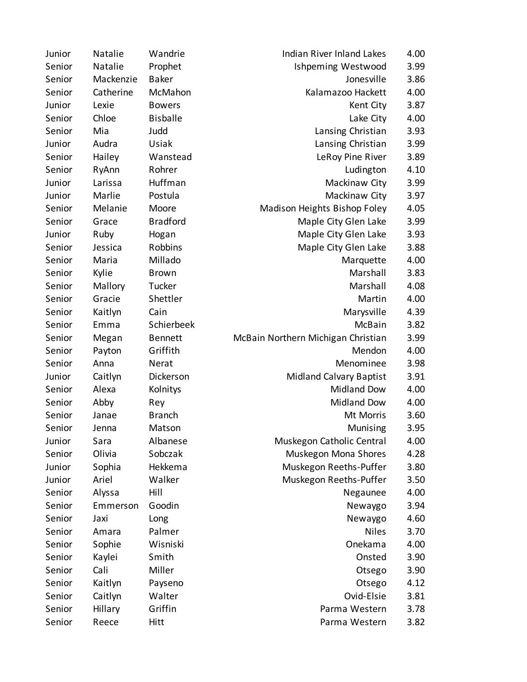| Junior | Natalie   | Wandrie         | <b>Indian River Inland Lakes</b>   | 4.00 |
|--------|-----------|-----------------|------------------------------------|------|
| Senior | Natalie   | Prophet         | Ishpeming Westwood                 | 3.99 |
| Senior | Mackenzie | <b>Baker</b>    | Jonesville                         | 3.86 |
| Senior | Catherine | McMahon         | Kalamazoo Hackett                  | 4.00 |
| Junior | Lexie     | <b>Bowers</b>   | Kent City                          | 3.87 |
| Senior | Chloe     | <b>Bisballe</b> | Lake City                          | 4.00 |
| Senior | Mia       | Judd            | Lansing Christian                  | 3.93 |
| Junior | Audra     | Usiak           | Lansing Christian                  | 3.99 |
| Senior | Hailey    | Wanstead        | LeRoy Pine River                   | 3.89 |
| Senior | RyAnn     | Rohrer          | Ludington                          | 4.10 |
| Junior | Larissa   | Huffman         | Mackinaw City                      | 3.99 |
| Junior | Marlie    | Postula         | Mackinaw City                      | 3.97 |
| Senior | Melanie   | Moore           | Madison Heights Bishop Foley       | 4.05 |
| Senior | Grace     | <b>Bradford</b> | Maple City Glen Lake               | 3.99 |
| Junior | Ruby      | Hogan           | Maple City Glen Lake               | 3.93 |
| Senior | Jessica   | Robbins         | Maple City Glen Lake               | 3.88 |
| Senior | Maria     | Millado         | Marquette                          | 4.00 |
| Senior | Kylie     | <b>Brown</b>    | Marshall                           | 3.83 |
| Senior | Mallory   | Tucker          | Marshall                           | 4.08 |
| Senior | Gracie    | Shettler        | Martin                             | 4.00 |
| Senior | Kaitlyn   | Cain            | Marysville                         | 4.39 |
| Senior | Emma      | Schierbeek      | McBain                             | 3.82 |
| Senior | Megan     | <b>Bennett</b>  | McBain Northern Michigan Christian | 3.99 |
| Senior | Payton    | Griffith        | Mendon                             | 4.00 |
| Senior | Anna      | Nerat           | Menominee                          | 3.98 |
| Junior | Caitlyn   | Dickerson       | <b>Midland Calvary Baptist</b>     | 3.91 |
| Senior | Alexa     | Kolnitys        | <b>Midland Dow</b>                 | 4.00 |
| Senior | Abby      | Rey             | <b>Midland Dow</b>                 | 4.00 |
| Senior | Janae     | <b>Branch</b>   | Mt Morris                          | 3.60 |
| Senior | Jenna     | Matson          | Munising                           | 3.95 |
| Junior | Sara      | Albanese        | Muskegon Catholic Central          | 4.00 |
| Senior | Olivia    | Sobczak         | Muskegon Mona Shores               | 4.28 |
| Junior | Sophia    | Hekkema         | Muskegon Reeths-Puffer             | 3.80 |
| Junior | Ariel     | Walker          | Muskegon Reeths-Puffer             | 3.50 |
| Senior | Alyssa    | Hill            | Negaunee                           | 4.00 |
| Senior | Emmerson  | Goodin          | Newaygo                            | 3.94 |
| Senior | Jaxi      | Long            | Newaygo                            | 4.60 |
| Senior | Amara     | Palmer          | <b>Niles</b>                       | 3.70 |
| Senior | Sophie    | Wisniski        | Onekama                            | 4.00 |
| Senior | Kaylei    | Smith           | Onsted                             | 3.90 |
| Senior | Cali      | Miller          | Otsego                             | 3.90 |
| Senior | Kaitlyn   | Payseno         | Otsego                             | 4.12 |
| Senior | Caitlyn   | Walter          | Ovid-Elsie                         | 3.81 |
| Senior | Hillary   | Griffin         | Parma Western                      | 3.78 |
| Senior | Reece     | Hitt            | Parma Western                      | 3.82 |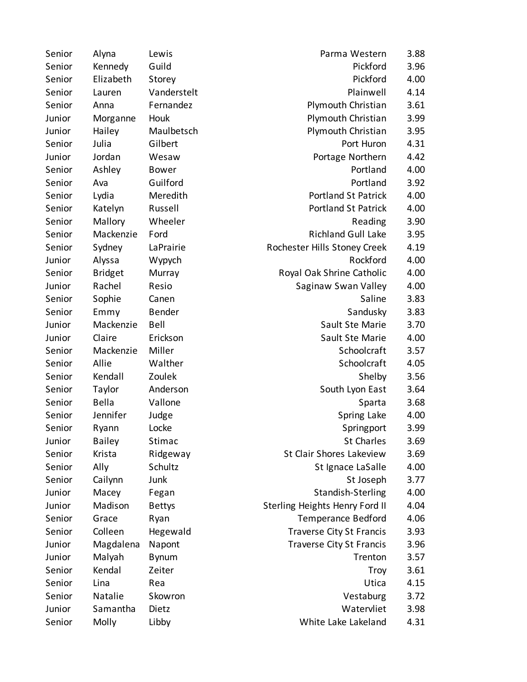| Senior | Alyna          | Lewis         | Parma Western                   | 3.88 |
|--------|----------------|---------------|---------------------------------|------|
| Senior | Kennedy        | Guild         | Pickford                        | 3.96 |
| Senior | Elizabeth      | Storey        | Pickford                        | 4.00 |
| Senior | Lauren         | Vanderstelt   | Plainwell                       | 4.14 |
| Senior | Anna           | Fernandez     | Plymouth Christian              | 3.61 |
| Junior | Morganne       | Houk          | Plymouth Christian              | 3.99 |
| Junior | Hailey         | Maulbetsch    | Plymouth Christian              | 3.95 |
| Senior | Julia          | Gilbert       | Port Huron                      | 4.31 |
| Junior | Jordan         | Wesaw         | Portage Northern                | 4.42 |
| Senior | Ashley         | <b>Bower</b>  | Portland                        | 4.00 |
| Senior | Ava            | Guilford      | Portland                        | 3.92 |
| Senior | Lydia          | Meredith      | <b>Portland St Patrick</b>      | 4.00 |
| Senior | Katelyn        | Russell       | <b>Portland St Patrick</b>      | 4.00 |
| Senior | Mallory        | Wheeler       | Reading                         | 3.90 |
| Senior | Mackenzie      | Ford          | <b>Richland Gull Lake</b>       | 3.95 |
| Senior | Sydney         | LaPrairie     | Rochester Hills Stoney Creek    | 4.19 |
| Junior | Alyssa         | Wypych        | Rockford                        | 4.00 |
| Senior | <b>Bridget</b> | Murray        | Royal Oak Shrine Catholic       | 4.00 |
| Junior | Rachel         | Resio         | Saginaw Swan Valley             | 4.00 |
| Senior | Sophie         | Canen         | Saline                          | 3.83 |
| Senior | Emmy           | <b>Bender</b> | Sandusky                        | 3.83 |
| Junior | Mackenzie      | Bell          | Sault Ste Marie                 | 3.70 |
| Junior | Claire         | Erickson      | Sault Ste Marie                 | 4.00 |
| Senior | Mackenzie      | Miller        | Schoolcraft                     | 3.57 |
| Senior | Allie          | Walther       | Schoolcraft                     | 4.05 |
| Senior | Kendall        | Zoulek        | Shelby                          | 3.56 |
| Senior | Taylor         | Anderson      | South Lyon East                 | 3.64 |
| Senior | Bella          | Vallone       | Sparta                          | 3.68 |
| Senior | Jennifer       | Judge         | Spring Lake                     | 4.00 |
| Senior | Ryann          | Locke         | Springport                      | 3.99 |
| Junior | <b>Bailey</b>  | Stimac        | <b>St Charles</b>               | 3.69 |
| Senior | Krista         | Ridgeway      | St Clair Shores Lakeview        | 3.69 |
| Senior | Ally           | Schultz       | St Ignace LaSalle               | 4.00 |
| Senior | Cailynn        | Junk          | St Joseph                       | 3.77 |
| Junior | Macey          | Fegan         | Standish-Sterling               | 4.00 |
| Junior | Madison        | <b>Bettys</b> | Sterling Heights Henry Ford II  | 4.04 |
| Senior | Grace          | Ryan          | <b>Temperance Bedford</b>       | 4.06 |
| Senior | Colleen        | Hegewald      | <b>Traverse City St Francis</b> | 3.93 |
| Junior | Magdalena      | Napont        | <b>Traverse City St Francis</b> | 3.96 |
| Junior | Malyah         | <b>Bynum</b>  | Trenton                         | 3.57 |
| Senior | Kendal         | Zeiter        | Troy                            | 3.61 |
| Senior | Lina           | Rea           | Utica                           | 4.15 |
| Senior | Natalie        | Skowron       | Vestaburg                       | 3.72 |
| Junior | Samantha       | Dietz         | Watervliet                      | 3.98 |
| Senior | Molly          | Libby         | White Lake Lakeland             | 4.31 |

| Parma Western              | 3.88         |
|----------------------------|--------------|
| Pickford                   | 3.96         |
| Pickford                   | 4.00         |
| Plainwell                  | 4.14         |
| Plymouth Christian         | 3.61         |
| Plymouth Christian         | 3.99         |
| Plymouth Christian         | 3.95         |
| Port Huron                 | 4.31         |
| Portage Northern           | 4.42         |
| Portland                   | 4.00         |
| Portland                   | 3.92         |
| <b>Portland St Patrick</b> | 4.00         |
| <b>Portland St Patrick</b> | 4.00         |
| Reading                    | 3.90         |
| <b>Richland Gull Lake</b>  | 3.95         |
| ter Hills Stoney Creek     | 4.19         |
| Rockford                   | 4.00         |
| Il Oak Shrine Catholic     | 4.00         |
| Saginaw Swan Valley        | 4.00         |
| Saline                     | 3.83         |
| Sandusky                   | 3.83         |
| Sault Ste Marie            | 3.70         |
| Sault Ste Marie            | 4.00         |
| Schoolcraft                | 3.57         |
| Schoolcraft                | 4.05         |
| Shelby                     | 3.56         |
| South Lyon East            | 3.64         |
| Sparta                     | 3.68         |
| Spring Lake                | 4.00         |
| Springport                 | 3.99         |
| <b>St Charles</b>          | 3.69         |
| Clair Shores Lakeview      | 3.69         |
| St Ignace LaSalle          | 4.00         |
| St Joseph                  | 3.77         |
| Standish-Sterling          | 4.00         |
| Heights Henry Ford II      | 4.04         |
| Temperance Bedford         | 4.06         |
| averse City St Francis     | 3.93         |
| averse City St Francis     | 3.96         |
| Trenton                    | 3.57         |
| Troy<br>Utica              | 3.61<br>4.15 |
| Vestaburg                  | 3.72         |
| Watervliet                 | 3.98         |
|                            | 4.31         |
| White Lake Lakeland        |              |